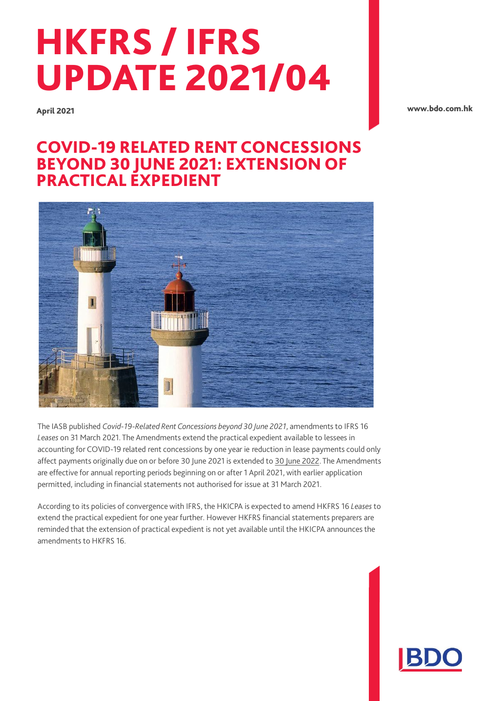# HKFRS / IFRS UPDATE 2021/04

April 2021

[www.bdo.com.hk](http://www.bdo.com.hk/)

# COVID-19 RELATED RENT CONCESSIONS BEYOND 30 JUNE 2021: EXTENSION OF PRACTICAL EXPEDIENT



The IASB published *Covid-19-Related Rent Concessions beyond 30 June 2021*, amendments to IFRS 16 *Leases* on 31 March 2021. The Amendments extend the practical expedient available to lessees in accounting for COVID-19 related rent concessions by one year ie reduction in lease payments could only affect payments originally due on or before 30 June 2021 is extended to 30 June 2022. The Amendments are effective for annual reporting periods beginning on or after 1 April 2021, with earlier application permitted, including in financial statements not authorised for issue at 31 March 2021.

According to its policies of convergence with IFRS, the HKICPA is expected to amend HKFRS 16 *Leases* to extend the practical expedient for one year further. However HKFRS financial statements preparers are reminded that the extension of practical expedient is not yet available until the HKICPA announces the amendments to HKFRS 16.

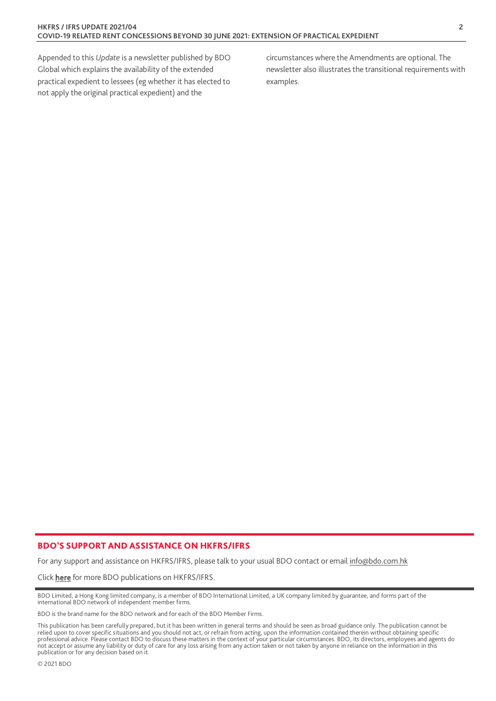Appended to this *Update* is a newsletter published by BDO Global which explains the availability of the extended practical expedient to lessees (eg whether it has elected to not apply the original practical expedient) and the

circumstances where the Amendments are optional. The newsletter also illustrates the transitional requirements with examples.

#### BDO'S SUPPORT AND ASSISTANCE ON HKFRS/IFRS

For any support and assistance on HKFRS/IFRS, please talk to your usual BDO contact or email [info@bdo.com.hk](mailto:info@bdo.com.hk)

Click [here](https://www.bdo.com.hk/insights/publications/hkfrs-ifrs-updates) for more BDO publications on HKFRS/IFRS.

BDO Limited, a Hong Kong limited company, is a member of BDO International Limited, a UK company limited by guarantee, and forms part of the international BDO network of independent member firms.

BDO is the brand name for the BDO network and for each of the BDO Member Firms.

This publication has been carefully prepared, but it has been written in general terms and should be seen as broad guidance only. The publication cannot be relied upon to cover specific situations and you should not act, or refrain from acting, upon the information contained therein without obtaining specific<br>professional advice. Please contact BDO to discuss these matters in not accept or assume any liability or duty of care for any loss arising from any action taken or not taken by anyone in reliance on the information in this publication or for any decision based on it.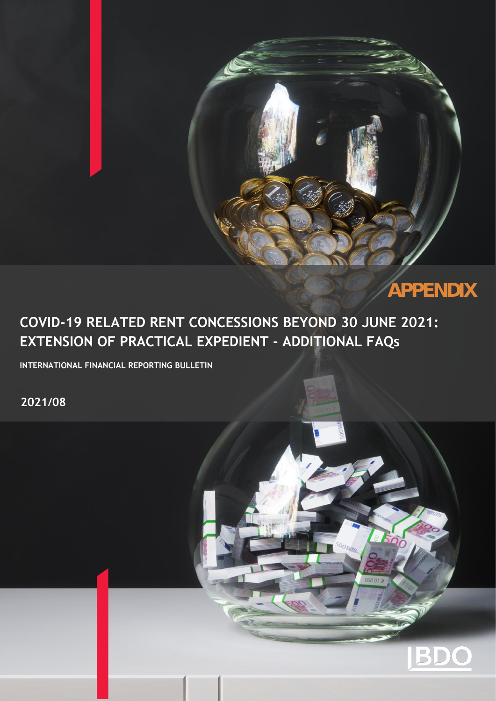

**APPENDIX**

# **COVID-19 RELATED RENT CONCESSIONS BEYOND 30 JUNE 2021: EXTENSION OF PRACTICAL EXPEDIENT - ADDITIONAL FAQs**

**INTERNATIONAL FINANCIAL REPORTING BULLETIN**

**2021/08**

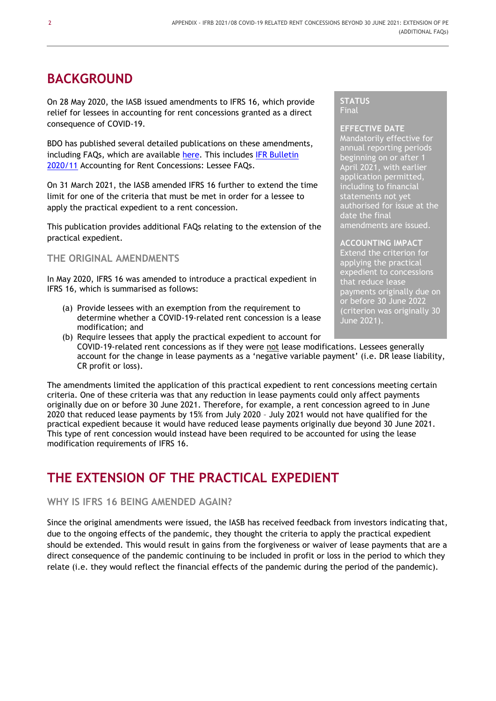# **BACKGROUND**

On 28 May 2020, the IASB issued amendments to IFRS 16, which provide relief for lessees in accounting for rent concessions granted as a direct consequence of COVID-19.

BDO has published several detailed publications on these amendments, including FAQs, which are available [here.](https://www.bdo.global/en-gb/microsites/ifrs/resource-library?category=all&tag=all&accounting=ifrs16) This includes [IFR Bulletin](https://www.bdo.global/getmedia/ead2254f-8fd8-4636-a96a-39f9357d0533/IFRB-2020-11-accounting-for-rent-concessions-FAQ.aspx)  [2020/11](https://www.bdo.global/getmedia/ead2254f-8fd8-4636-a96a-39f9357d0533/IFRB-2020-11-accounting-for-rent-concessions-FAQ.aspx) Accounting for Rent Concessions: Lessee FAQs.

On 31 March 2021, the IASB amended IFRS 16 further to extend the time limit for one of the criteria that must be met in order for a lessee to apply the practical expedient to a rent concession.

This publication provides additional FAQs relating to the extension of the practical expedient.

**THE ORIGINAL AMENDMENTS** 

In May 2020, IFRS 16 was amended to introduce a practical expedient in IFRS 16, which is summarised as follows:

(a) Provide lessees with an exemption from the requirement to determine whether a COVID-19-related rent concession is a lease modification; and

#### **STATUS** Final

### **EFFECTIVE DATE**

Mandatorily effective for annual reporting periods beginning on or after 1 April 2021, with earlier application permitted, including to financial statements not yet authorised for issue at the date the final amendments are issued.

#### **ACCOUNTING IMPACT**

Extend the criterion for applying the practical expedient to concessions that reduce lease payments originally due on or before 30 June 2022 (criterion was originally 30 June 2021).

(b) Require lessees that apply the practical expedient to account for COVID-19-related rent concessions as if they were not lease modifications. Lessees generally account for the change in lease payments as a 'negative variable payment' (i.e. DR lease liability, CR profit or loss).

The amendments limited the application of this practical expedient to rent concessions meeting certain criteria. One of these criteria was that any reduction in lease payments could only affect payments originally due on or before 30 June 2021. Therefore, for example, a rent concession agreed to in June 2020 that reduced lease payments by 15% from July 2020 – July 2021 would not have qualified for the practical expedient because it would have reduced lease payments originally due beyond 30 June 2021. This type of rent concession would instead have been required to be accounted for using the lease modification requirements of IFRS 16.

# **THE EXTENSION OF THE PRACTICAL EXPEDIENT**

## **WHY IS IFRS 16 BEING AMENDED AGAIN?**

Since the original amendments were issued, the IASB has received feedback from investors indicating that, due to the ongoing effects of the pandemic, they thought the criteria to apply the practical expedient should be extended. This would result in gains from the forgiveness or waiver of lease payments that are a direct consequence of the pandemic continuing to be included in profit or loss in the period to which they relate (i.e. they would reflect the financial effects of the pandemic during the period of the pandemic).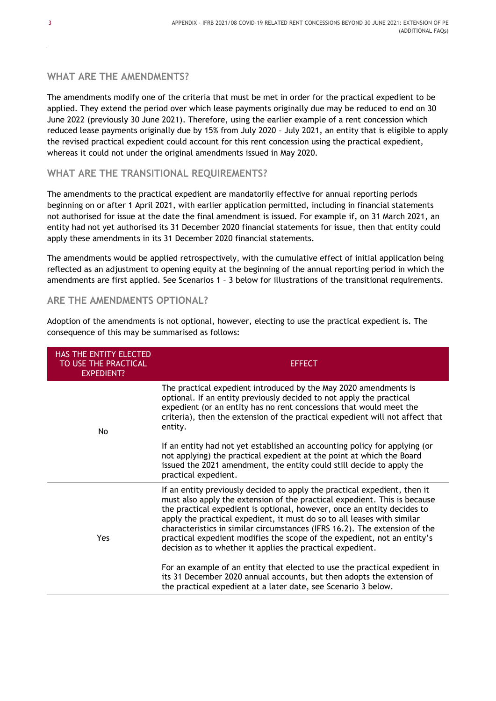# **WHAT ARE THE AMENDMENTS?**

The amendments modify one of the criteria that must be met in order for the practical expedient to be applied. They extend the period over which lease payments originally due may be reduced to end on 30 June 2022 (previously 30 June 2021). Therefore, using the earlier example of a rent concession which reduced lease payments originally due by 15% from July 2020 – July 2021, an entity that is eligible to apply the revised practical expedient could account for this rent concession using the practical expedient, whereas it could not under the original amendments issued in May 2020.

## **WHAT ARE THE TRANSITIONAL REQUIREMENTS?**

The amendments to the practical expedient are mandatorily effective for annual reporting periods beginning on or after 1 April 2021, with earlier application permitted, including in financial statements not authorised for issue at the date the final amendment is issued. For example if, on 31 March 2021, an entity had not yet authorised its 31 December 2020 financial statements for issue, then that entity could apply these amendments in its 31 December 2020 financial statements.

The amendments would be applied retrospectively, with the cumulative effect of initial application being reflected as an adjustment to opening equity at the beginning of the annual reporting period in which the amendments are first applied. See Scenarios 1 – 3 below for illustrations of the transitional requirements.

# **ARE THE AMENDMENTS OPTIONAL?**

Adoption of the amendments is not optional, however, electing to use the practical expedient is. The consequence of this may be summarised as follows:

| <b>HAS THE ENTITY ELECTED</b><br>TO USE THE PRACTICAL<br><b>EXPEDIENT?</b> | <b>EFFECT</b>                                                                                                                                                                                                                                                                                                                                                                                                                                                                                                                        |
|----------------------------------------------------------------------------|--------------------------------------------------------------------------------------------------------------------------------------------------------------------------------------------------------------------------------------------------------------------------------------------------------------------------------------------------------------------------------------------------------------------------------------------------------------------------------------------------------------------------------------|
| No                                                                         | The practical expedient introduced by the May 2020 amendments is<br>optional. If an entity previously decided to not apply the practical<br>expedient (or an entity has no rent concessions that would meet the<br>criteria), then the extension of the practical expedient will not affect that<br>entity.                                                                                                                                                                                                                          |
|                                                                            | If an entity had not yet established an accounting policy for applying (or<br>not applying) the practical expedient at the point at which the Board<br>issued the 2021 amendment, the entity could still decide to apply the<br>practical expedient.                                                                                                                                                                                                                                                                                 |
| Yes                                                                        | If an entity previously decided to apply the practical expedient, then it<br>must also apply the extension of the practical expedient. This is because<br>the practical expedient is optional, however, once an entity decides to<br>apply the practical expedient, it must do so to all leases with similar<br>characteristics in similar circumstances (IFRS 16.2). The extension of the<br>practical expedient modifies the scope of the expedient, not an entity's<br>decision as to whether it applies the practical expedient. |
|                                                                            | For an example of an entity that elected to use the practical expedient in<br>its 31 December 2020 annual accounts, but then adopts the extension of<br>the practical expedient at a later date, see Scenario 3 below.                                                                                                                                                                                                                                                                                                               |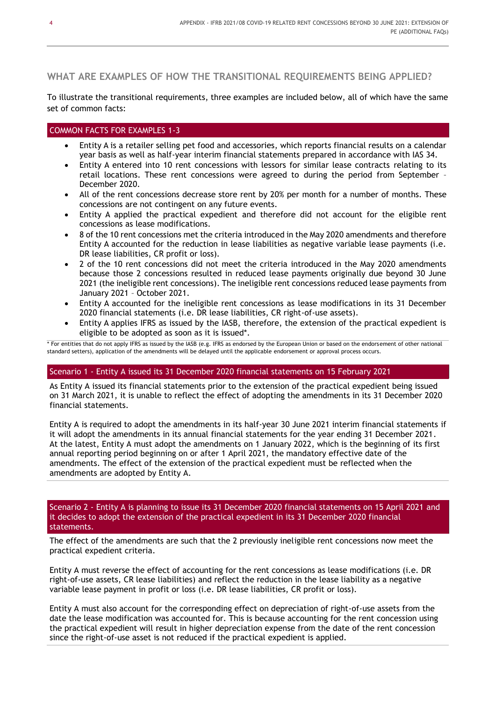# **WHAT ARE EXAMPLES OF HOW THE TRANSITIONAL REQUIREMENTS BEING APPLIED?**

To illustrate the transitional requirements, three examples are included below, all of which have the same set of common facts:

### COMMON FACTS FOR EXAMPLES 1-3

- Entity A is a retailer selling pet food and accessories, which reports financial results on a calendar year basis as well as half-year interim financial statements prepared in accordance with IAS 34.
- Entity A entered into 10 rent concessions with lessors for similar lease contracts relating to its retail locations. These rent concessions were agreed to during the period from September – December 2020.
- All of the rent concessions decrease store rent by 20% per month for a number of months. These concessions are not contingent on any future events.
- Entity A applied the practical expedient and therefore did not account for the eligible rent concessions as lease modifications.
- 8 of the 10 rent concessions met the criteria introduced in the May 2020 amendments and therefore Entity A accounted for the reduction in lease liabilities as negative variable lease payments (i.e. DR lease liabilities, CR profit or loss).
- 2 of the 10 rent concessions did not meet the criteria introduced in the May 2020 amendments because those 2 concessions resulted in reduced lease payments originally due beyond 30 June 2021 (the ineligible rent concessions). The ineligible rent concessions reduced lease payments from January 2021 – October 2021.
- Entity A accounted for the ineligible rent concessions as lease modifications in its 31 December 2020 financial statements (i.e. DR lease liabilities, CR right-of-use assets).
- Entity A applies IFRS as issued by the IASB, therefore, the extension of the practical expedient is eligible to be adopted as soon as it is issued\*.

\* For entities that do not apply IFRS as issued by the IASB (e.g. IFRS as endorsed by the European Union or based on the endorsement of other national standard setters), application of the amendments will be delayed until the applicable endorsement or approval process occurs.

#### Scenario 1 - Entity A issued its 31 December 2020 financial statements on 15 February 2021

As Entity A issued its financial statements prior to the extension of the practical expedient being issued on 31 March 2021, it is unable to reflect the effect of adopting the amendments in its 31 December 2020 financial statements.

Entity A is required to adopt the amendments in its half-year 30 June 2021 interim financial statements if it will adopt the amendments in its annual financial statements for the year ending 31 December 2021. At the latest, Entity A must adopt the amendments on 1 January 2022, which is the beginning of its first annual reporting period beginning on or after 1 April 2021, the mandatory effective date of the amendments. The effect of the extension of the practical expedient must be reflected when the amendments are adopted by Entity A.

#### Scenario 2 - Entity A is planning to issue its 31 December 2020 financial statements on 15 April 2021 and it decides to adopt the extension of the practical expedient in its 31 December 2020 financial statements.

The effect of the amendments are such that the 2 previously ineligible rent concessions now meet the practical expedient criteria.

Entity A must reverse the effect of accounting for the rent concessions as lease modifications (i.e. DR right-of-use assets, CR lease liabilities) and reflect the reduction in the lease liability as a negative variable lease payment in profit or loss (i.e. DR lease liabilities, CR profit or loss).

Entity A must also account for the corresponding effect on depreciation of right-of-use assets from the date the lease modification was accounted for. This is because accounting for the rent concession using the practical expedient will result in higher depreciation expense from the date of the rent concession since the right-of-use asset is not reduced if the practical expedient is applied.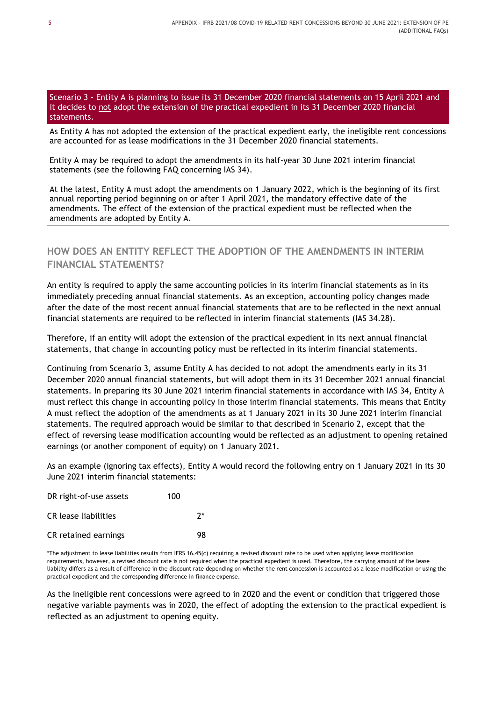#### Scenario 3 - Entity A is planning to issue its 31 December 2020 financial statements on 15 April 2021 and it decides to not adopt the extension of the practical expedient in its 31 December 2020 financial statements.

As Entity A has not adopted the extension of the practical expedient early, the ineligible rent concessions are accounted for as lease modifications in the 31 December 2020 financial statements.

Entity A may be required to adopt the amendments in its half-year 30 June 2021 interim financial statements (see the following FAQ concerning IAS 34).

At the latest, Entity A must adopt the amendments on 1 January 2022, which is the beginning of its first annual reporting period beginning on or after 1 April 2021, the mandatory effective date of the amendments. The effect of the extension of the practical expedient must be reflected when the amendments are adopted by Entity A.

# **HOW DOES AN ENTITY REFLECT THE ADOPTION OF THE AMENDMENTS IN INTERIM FINANCIAL STATEMENTS?**

An entity is required to apply the same accounting policies in its interim financial statements as in its immediately preceding annual financial statements. As an exception, accounting policy changes made after the date of the most recent annual financial statements that are to be reflected in the next annual financial statements are required to be reflected in interim financial statements (IAS 34.28).

Therefore, if an entity will adopt the extension of the practical expedient in its next annual financial statements, that change in accounting policy must be reflected in its interim financial statements.

Continuing from Scenario 3, assume Entity A has decided to not adopt the amendments early in its 31 December 2020 annual financial statements, but will adopt them in its 31 December 2021 annual financial statements. In preparing its 30 June 2021 interim financial statements in accordance with IAS 34, Entity A must reflect this change in accounting policy in those interim financial statements. This means that Entity A must reflect the adoption of the amendments as at 1 January 2021 in its 30 June 2021 interim financial statements. The required approach would be similar to that described in Scenario 2, except that the effect of reversing lease modification accounting would be reflected as an adjustment to opening retained earnings (or another component of equity) on 1 January 2021.

As an example (ignoring tax effects), Entity A would record the following entry on 1 January 2021 in its 30 June 2021 interim financial statements:

| DR right-of-use assets | 100 |       |
|------------------------|-----|-------|
| CR lease liabilities   |     | $2^*$ |
| CR retained earnings   |     | 98    |

\*The adjustment to lease liabilities results from IFRS 16.45(c) requiring a revised discount rate to be used when applying lease modification requirements, however, a revised discount rate is not required when the practical expedient is used. Therefore, the carrying amount of the lease liability differs as a result of difference in the discount rate depending on whether the rent concession is accounted as a lease modification or using the practical expedient and the corresponding difference in finance expense.

As the ineligible rent concessions were agreed to in 2020 and the event or condition that triggered those negative variable payments was in 2020, the effect of adopting the extension to the practical expedient is reflected as an adjustment to opening equity.